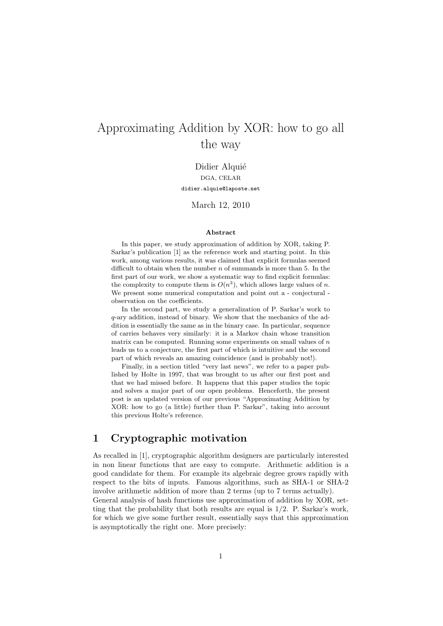# Approximating Addition by XOR: how to go all the way

Didier Alquié DGA, CELAR didier.alquie@laposte.net

March 12, 2010

#### Abstract

In this paper, we study approximation of addition by XOR, taking P. Sarkar's publication [1] as the reference work and starting point. In this work, among various results, it was claimed that explicit formulas seemed difficult to obtain when the number  $n$  of summands is more than 5. In the first part of our work, we show a systematic way to find explicit formulas: the complexity to compute them is  $O(n^3)$ , which allows large values of n. We present some numerical computation and point out a - conjectural observation on the coefficients.

In the second part, we study a generalization of P. Sarkar's work to q-ary addition, instead of binary. We show that the mechanics of the addition is essentially the same as in the binary case. In particular, sequence of carries behaves very similarly: it is a Markov chain whose transition matrix can be computed. Running some experiments on small values of  $n$ leads us to a conjecture, the first part of which is intuitive and the second part of which reveals an amazing coincidence (and is probably not!).

Finally, in a section titled "very last news", we refer to a paper published by Holte in 1997, that was brought to us after our first post and that we had missed before. It happens that this paper studies the topic and solves a major part of our open problems. Henceforth, the present post is an updated version of our previous "Approximating Addition by XOR: how to go (a little) further than P. Sarkar", taking into account this previous Holte's reference.

### 1 Cryptographic motivation

As recalled in [1], cryptographic algorithm designers are particularly interested in non linear functions that are easy to compute. Arithmetic addition is a good candidate for them. For example its algebraic degree grows rapidly with respect to the bits of inputs. Famous algorithms, such as SHA-1 or SHA-2 involve arithmetic addition of more than 2 terms (up to 7 terms actually).

General analysis of hash functions use approximation of addition by XOR, setting that the probability that both results are equal is  $1/2$ . P. Sarkar's work, for which we give some further result, essentially says that this approximation is asymptotically the right one. More precisely: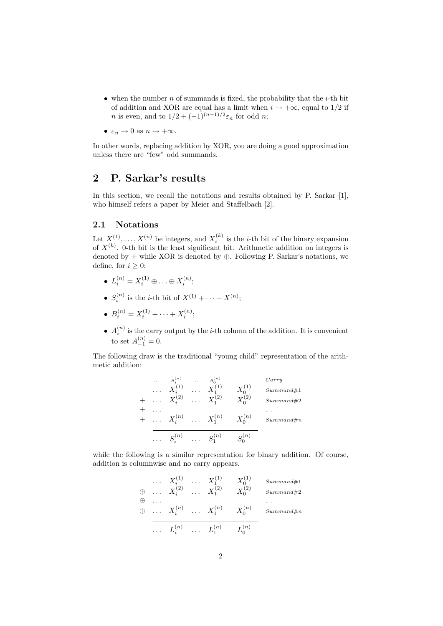- when the number  $n$  of summands is fixed, the probability that the *i*-th bit of addition and XOR are equal has a limit when  $i \rightarrow +\infty$ , equal to 1/2 if *n* is even, and to  $1/2 + (-1)^{(n-1)/2} \varepsilon_n$  for odd *n*;
- $\varepsilon_n \to 0$  as  $n \to +\infty$ .

In other words, replacing addition by XOR, you are doing a good approximation unless there are "few" odd summands.

### 2 P. Sarkar's results

In this section, we recall the notations and results obtained by P. Sarkar [1], who himself refers a paper by Meier and Staffelbach [2].

#### 2.1 Notations

Let  $X^{(1)}, \ldots, X^{(n)}$  be integers, and  $X_i^{(k)}$  is the *i*-th bit of the binary expansion of  $X^{(k)}$ . 0-th bit is the least significant bit. Arithmetic addition on integers is denoted by + while XOR is denoted by  $\oplus$ . Following P. Sarkar's notations, we define, for  $i \geq 0$ :

- $L_i^{(n)} = X_i^{(1)} \oplus \ldots \oplus X_i^{(n)};$
- $S_i^{(n)}$  is the *i*-th bit of  $X^{(1)} + \cdots + X^{(n)}$ ;
- $B_i^{(n)} = X_i^{(1)} + \cdots + X_i^{(n)};$
- $A_i^{(n)}$  is the carry output by the *i*-th column of the addition. It is convenient to set  $A_{-1}^{(n)} = 0$ .

The following draw is the traditional "young child" representation of the arithmetic addition:

| $\cdots$ | $A_i^{(n)}$                         | $\cdots$ | $A_0^{(n)}$          |               | Carry     |
|----------|-------------------------------------|----------|----------------------|---------------|-----------|
| $\cdots$ | $X_i^{(1)}$                         | $\cdots$ | $X_1^{(1)}$          | $X_0^{(1)}$   | Summand#1 |
|          | $\ldots X_i^{(2)}$                  |          | $\cdots X_1^{(2)}$   | $X_0^{(2)}$   | Summand#2 |
| .        |                                     |          |                      |               |           |
|          | $\ldots X_i^{(n)} \ldots X_1^{(n)}$ |          |                      | $X_0^{(n)}$   | Summand#n |
|          | $\ldots S_i^{(n)}$                  |          | $\ldots$ $S_1^{(n)}$ | $S^{(n)}_{0}$ |           |

while the following is a similar representation for binary addition. Of course, addition is columnwise and no carry appears.

. . . X(1) i . . . X(1) <sup>1</sup> X (1) 0 Summand#1 ⊕ . . . X(2) i . . . X(2) <sup>1</sup> X (2) 0 Summand#2 ⊕ . . . . . . ⊕ . . . X(n) i . . . X(n) <sup>1</sup> X (n) 0 Summand#n . . . L(n) i . . . L(n) <sup>1</sup> L (n) 0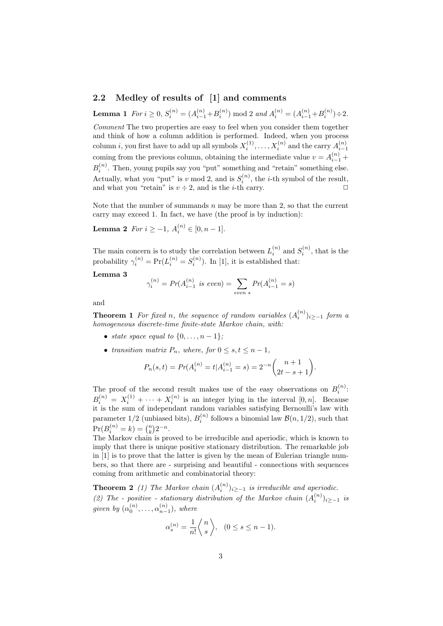### 2.2 Medley of results of [1] and comments

**Lemma 1**  $For i \geq 0, S_i^{(n)} = (A_{i-1}^{(n)} + B_i^{(n)}) \text{ mod } 2$  and  $A_i^{(n)} = (A_{i-1}^{(n)} + B_i^{(n)}) \div 2$ . Comment The two properties are easy to feel when you consider them together and think of how a column addition is performed. Indeed, when you process column *i*, you first have to add up all symbols  $X_i^{(1)}, \ldots, X_i^{(n)}$  and the carry  $A_{i-1}^{(n)}$ coming from the previous column, obtaining the intermediate value  $v = A_{i-1}^{(n)} +$  $B_i^{(n)}$ . Then, young pupils say you "put" something and "retain" something else. Actually, what you "put" is v mod 2, and is  $S_i^{(n)}$ , the *i*-th symbol of the result, and what you "retain" is  $v \div 2$ , and is the *i*-th carry.

Note that the number of summands  $n$  may be more than 2, so that the current carry may exceed 1. In fact, we have (the proof is by induction):

**Lemma 2** For  $i \ge -1$ ,  $A_i^{(n)} \in [0, n-1]$ .

The main concern is to study the correlation between  $L_i^{(n)}$  and  $S_i^{(n)}$ , that is the probability  $\gamma_i^{(n)} = \Pr(L_i^{(n)} = S_i^{(n)})$ . In [1], it is established that:

### Lemma 3

$$
\gamma_i^{(n)} = Pr(A_{i-1}^{(n)} \text{ is even}) = \sum_{even \ s} Pr(A_{i-1}^{(n)} = s)
$$

and

**Theorem 1** For fixed n, the sequence of random variables  $(A_i^{(n)})_{i\geq -1}$  form a homogeneous discrete-time finite-state Markov chain, with:

- state space equal to  $\{0, \ldots, n-1\}$ ;
- transition matrix  $P_n$ , where, for  $0 \leq s, t \leq n-1$ ,

$$
P_n(s,t) = Pr(A_i^{(n)} = t | A_{i-1}^{(n)} = s) = 2^{-n} {n+1 \choose 2t - s + 1}.
$$

The proof of the second result makes use of the easy observations on  $B_i^{(n)}$ :  $B_i^{(n)} = X_i^{(1)} + \cdots + X_i^{(n)}$  is an integer lying in the interval  $[0, n]$ . Because it is the sum of independant random variables satisfying Bernoulli's law with parameter  $1/2$  (unbiased bits),  $B_i^{(n)}$  follows a binomial law  $\mathcal{B}(n, 1/2)$ , such that  $\Pr(B_i^{(n)} = k) = {n \choose k} 2^{-n}.$ 

The Markov chain is proved to be irreducible and aperiodic, which is known to imply that there is unique positive stationary distribution. The remarkable job in [1] is to prove that the latter is given by the mean of Eulerian triangle numbers, so that there are - surprising and beautiful - connections with sequences coming from arithmetic and combinatorial theory:

**Theorem 2** (1) The Markov chain  $(A_i^{(n)})_{i\geq -1}$  is irreducible and aperiodic. (2) The - positive - stationary distribution of the Markov chain  $(A_i^{(n)})_{i\geq -1}$  is given by  $(\alpha_0^{(n)}, \ldots, \alpha_{n-1}^{(n)})$ , where

$$
\alpha_s^{(n)} = \frac{1}{n!} \left\langle \begin{array}{c} n \\ s \end{array} \right\rangle, \quad (0 \le s \le n-1).
$$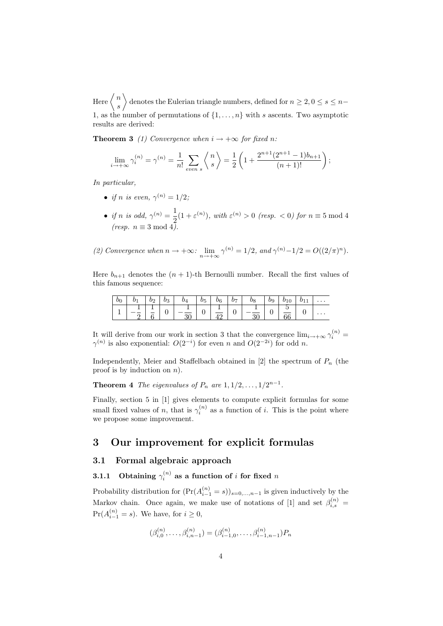Here  $\left\langle n\right\rangle$ s denotes the Eulerian triangle numbers, defined for  $n \geq 2, 0 \leq s \leq n-1$ 1, as the number of permutations of  $\{1, \ldots, n\}$  with s ascents. Two asymptotic results are derived:

**Theorem 3** (1) Convergence when  $i \rightarrow +\infty$  for fixed n:

$$
\lim_{i \to +\infty} \gamma_i^{(n)} = \gamma^{(n)} = \frac{1}{n!} \sum_{even \ s} \left\langle {n \atop s} \right\rangle = \frac{1}{2} \left( 1 + \frac{2^{n+1} (2^{n+1} - 1) b_{n+1}}{(n+1)!} \right);
$$

In particular,

- if n is even,  $\gamma^{(n)} = 1/2$ ;
- if n is odd,  $\gamma^{(n)} = \frac{1}{2}$  $\frac{1}{2}(1+\varepsilon^{(n)})$ , with  $\varepsilon^{(n)} > 0$  (resp. < 0) for  $n \equiv 5 \mod 4$  $(resp. n \equiv 3 \mod 4).$

(2) Convergence when 
$$
n \to +\infty
$$
:  $\lim_{n \to +\infty} \gamma^{(n)} = 1/2$ , and  $\gamma^{(n)} - 1/2 = O((2/\pi)^n)$ .

Here  $b_{n+1}$  denotes the  $(n + 1)$ -th Bernoulli number. Recall the first values of this famous sequence:

|          | bэ | $b_3$ | $b_5$ |              | $b_7$ | $\overline{b}$ $\overline{b}$ | $b_9$ |        | .        |
|----------|----|-------|-------|--------------|-------|-------------------------------|-------|--------|----------|
| <b>+</b> |    |       | ັ     | $\mathbf{r}$ |       |                               |       | $\cup$ | $\cdots$ |

It will derive from our work in section 3 that the convergence  $\lim_{i\to+\infty}\gamma_i^{(n)}=$  $\gamma^{(n)}$  is also exponential:  $O(2^{-i})$  for even n and  $O(2^{-2i})$  for odd n.

Independently, Meier and Staffelbach obtained in [2] the spectrum of  $P_n$  (the proof is by induction on  $n$ ).

**Theorem 4** The eigenvalues of  $P_n$  are  $1, 1/2, \ldots, 1/2^{n-1}$ .

Finally, section 5 in [1] gives elements to compute explicit formulas for some small fixed values of n, that is  $\gamma_i^{(n)}$  as a function of i. This is the point where we propose some improvement.

### 3 Our improvement for explicit formulas

#### 3.1 Formal algebraic approach

### 3.1.1 Obtaining  $\gamma^{(n)}_i$  as a function of i for fixed  $n$

Probability distribution for  $(\Pr(A_{i-1}^{(n)} = s))_{s=0,\dots,n-1}$  is given inductively by the Markov chain. Once again, we make use of notations of [1] and set  $\beta_{i,s}^{(n)} =$  $Pr(A_{i-1}^{(n)} = s)$ . We have, for  $i \geq 0$ ,

$$
(\beta_{i,0}^{(n)},\ldots,\beta_{i,n-1}^{(n)})=(\beta_{i-1,0}^{(n)},\ldots,\beta_{i-1,n-1}^{(n)})P_n
$$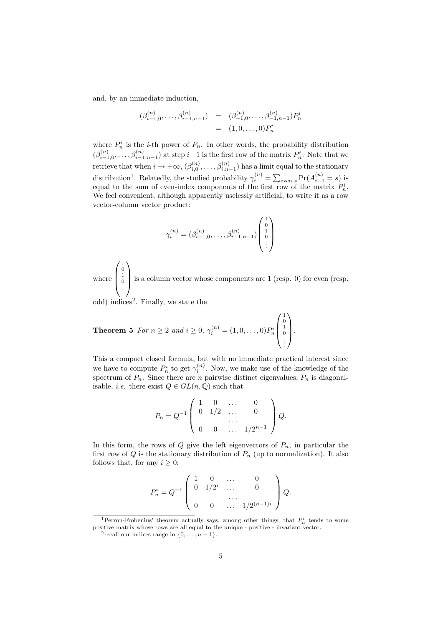and, by an immediate induction,

$$
\begin{array}{rcl}\n(\beta_{i-1,0}^{(n)}, \ldots, \beta_{i-1,n-1}^{(n)}) & = & (\beta_{-1,0}^{(n)}, \ldots, \beta_{-1,n-1}^{(n)}) P_n^i \\
 & = & (1,0,\ldots,0) P_n^i\n\end{array}
$$

where  $P_n^i$  is the *i*-th power of  $P_n$ . In other words, the probability distribution n  $(\beta_{i-1,0}^{(n)},\ldots,\beta_{i-1,n-1}^{(n)})$  at step  $i-1$  is the first row of the matrix  $P_n^i$ . Note that we retrieve that when  $i \to +\infty$ ,  $(\beta_{i,0}^{(n)}, \ldots, \beta_{i,n-1}^{(n)})$  has a limit equal to the stationary distribution<sup>1</sup>. Relatedly, the studied probability  $\gamma_i^{(n)} = \sum_{\text{even } s} \Pr(A_{i-1}^{(n)} = s)$  is equal to the sum of even-index components of the first row of the matrix  $P_n^i$ . We feel convenient, although apparently uselessly artificial, to write it as a row vector-column vector product:

$$
\gamma_i^{(n)} = (\beta_{i-1,0}^{(n)}, \dots, \beta_{i-1,n-1}^{(n)}) \begin{pmatrix} 1 \\ 0 \\ 1 \\ \vdots \end{pmatrix}
$$

where  $\sqrt{ }$  $\overline{\mathcal{L}}$ 1 0 1 0 . . .  $\setminus$ is a column vector whose components are 1 (resp. 0) for even (resp.

odd) indices<sup>2</sup>. Finally, we state the

**Theorem 5** For 
$$
n \ge 2
$$
 and  $i \ge 0$ ,  $\gamma_i^{(n)} = (1, 0, \ldots, 0) P_n^i \begin{pmatrix} 1 \\ 0 \\ 0 \\ \vdots \end{pmatrix}$ .

This a compact closed formula, but with no immediate practical interest since we have to compute  $P_n^i$  to get  $\gamma_i^{(n)}$ . Now, we make use of the knowledge of the spectrum of  $P_n$ . Since there are n pairwise distinct eigenvalues,  $P_n$  is diagonalisable, *i.e.* there exist  $Q \in GL(n, \mathbb{Q})$  such that

$$
P_n = Q^{-1} \begin{pmatrix} 1 & 0 & \dots & 0 \\ 0 & 1/2 & \dots & 0 \\ \dots & \dots & \dots & \dots \\ 0 & 0 & \dots & 1/2^{n-1} \end{pmatrix} Q.
$$

In this form, the rows of  $Q$  give the left eigenvectors of  $P_n$ , in particular the first row of  $Q$  is the stationary distribution of  $P_n$  (up to normalization). It also follows that, for any  $i \geq 0$ :

$$
P_n^i = Q^{-1} \begin{pmatrix} 1 & 0 & \dots & 0 \\ 0 & 1/2^i & \dots & 0 \\ & & \dots & \dots & \\ 0 & 0 & \dots & 1/2^{(n-1)i} \end{pmatrix} Q.
$$

<sup>&</sup>lt;sup>1</sup>Perron-Frobenius' theorem actually says, among other things, that  $P_n^i$  tends to some positive matrix whose rows are all equal to the unique - positive - invariant vector.

<sup>&</sup>lt;sup>2</sup> recall our indices range in  $\{0, \ldots, n-1\}$ .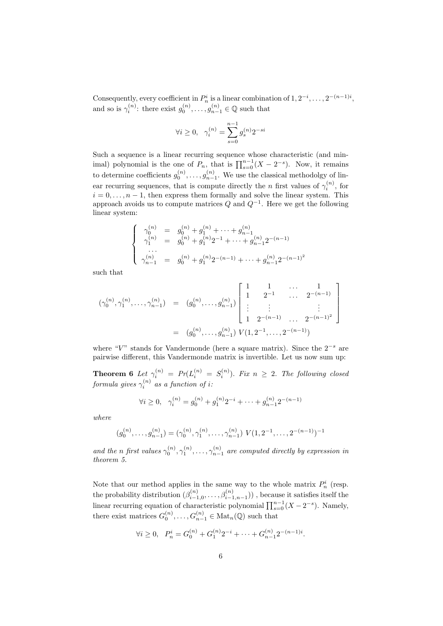Consequently, every coefficient in  $P_n^i$  is a linear combination of  $1, 2^{-i}, \ldots, 2^{-(n-1)i}$ , and so is  $\gamma_i^{(n)}$ : there exist  $g_0^{(n)}, \ldots, g_{n-1}^{(n)} \in \mathbb{Q}$  such that

$$
\forall i \ge 0, \ \gamma_i^{(n)} = \sum_{s=0}^{n-1} g_s^{(n)} 2^{-si}
$$

Such a sequence is a linear recurring sequence whose characteristic (and minimal) polynomial is the one of  $P_n$ , that is  $\prod_{s=0}^{n-1} (X - 2^{-s})$ . Now, it remains to determine coefficients  $g_0^{(n)}, \ldots, g_{n-1}^{(n)}$ . We use the classical methodolgy of linear recurring sequences, that is compute directly the *n* first values of  $\gamma_i^{(n)}$ , for  $i = 0, \ldots, n-1$ , then express them formally and solve the linear system. This approach avoids us to compute matrices  $Q$  and  $Q^{-1}$ . Here we get the following linear system:

$$
\begin{cases}\n\gamma_0^{(n)} = g_0^{(n)} + g_1^{(n)} + \dots + g_{n-1}^{(n)} \\
\gamma_1^{(n)} = g_0^{(n)} + g_1^{(n)} 2^{-1} + \dots + g_{n-1}^{(n)} 2^{-(n-1)} \\
\vdots \\
\gamma_{n-1}^{(n)} = g_0^{(n)} + g_1^{(n)} 2^{-(n-1)} + \dots + g_{n-1}^{(n)} 2^{-(n-1)^2}\n\end{cases}
$$

such that

$$
(\gamma_0^{(n)}, \gamma_1^{(n)}, \dots, \gamma_{n-1}^{(n)}) = (g_0^{(n)}, \dots, g_{n-1}^{(n)}) \begin{bmatrix} 1 & 1 & \dots & 1 \\ 1 & 2^{-1} & \dots & 2^{-(n-1)} \\ \vdots & \vdots & & \vdots \\ 1 & 2^{-(n-1)} & \dots & 2^{-(n-1)^2} \end{bmatrix}
$$

$$
= (g_0^{(n)}, \dots, g_{n-1}^{(n)}) V(1, 2^{-1}, \dots, 2^{-(n-1)})
$$

where "V" stands for Vandermonde (here a square matrix). Since the  $2^{-s}$  are pairwise different, this Vandermonde matrix is invertible. Let us now sum up:

**Theorem 6** Let  $\gamma_i^{(n)} = Pr(L_i^{(n)} = S_i^{(n)})$ . Fix  $n \geq 2$ . The following closed  $formula\ gives\ \gamma_i^{(n)}\ as\ a\ function\ of\ i\colon$ 

$$
\forall i \ge 0, \quad \gamma_i^{(n)} = g_0^{(n)} + g_1^{(n)} 2^{-i} + \dots + g_{n-1}^{(n)} 2^{-(n-1)}
$$

where

$$
(g_0^{(n)}, \ldots, g_{n-1}^{(n)}) = (\gamma_0^{(n)}, \gamma_1^{(n)}, \ldots, \gamma_{n-1}^{(n)}) \ V(1, 2^{-1}, \ldots, 2^{-(n-1)})^{-1}
$$

and the n first values  $\gamma_0^{(n)}$ ,  $\gamma_1^{(n)}$ , ...,  $\gamma_{n-1}^{(n)}$  are computed directly by expression in theorem 5.

Note that our method applies in the same way to the whole matrix  $P_n^i$  (resp. the probability distribution  $(\beta_{i-1,0}^{(n)}, \ldots, \beta_{i-1,n-1}^{(n)})$ , because it satisfies itself the linear recurring equation of characteristic polynomial  $\prod_{s=0}^{n-1} (X - 2^{-s})$ . Namely, there exist matrices  $G_0^{(n)}, \ldots, G_{n-1}^{(n)} \in \text{Mat}_n(\mathbb{Q})$  such that

$$
\forall i \ge 0, \quad P_n^i = G_0^{(n)} + G_1^{(n)} 2^{-i} + \dots + G_{n-1}^{(n)} 2^{-(n-1)i}.
$$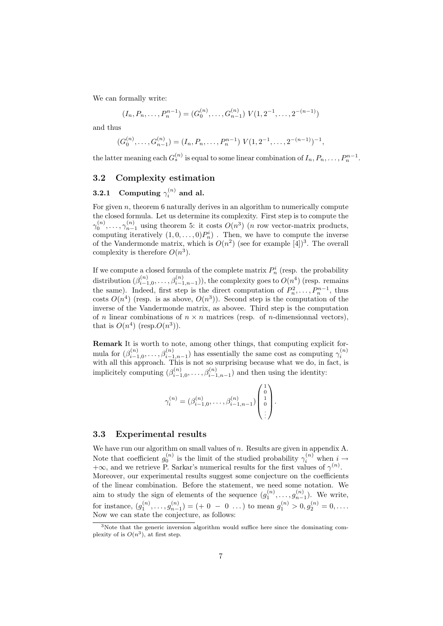We can formally write:

$$
(I_n, P_n, \dots, P_n^{n-1}) = (G_0^{(n)}, \dots, G_{n-1}^{(n)}) \ V(1, 2^{-1}, \dots, 2^{-(n-1)})
$$

and thus

$$
(G_0^{(n)},\ldots,G_{n-1}^{(n)})=(I_n,P_n,\ldots,P_n^{n-1})\ V(1,2^{-1},\ldots,2^{-(n-1)})^{-1},
$$

the latter meaning each  $G_s^{(n)}$  is equal to some linear combination of  $I_n, P_n, \ldots, P_n^{n-1}$ .

#### 3.2 Complexity estimation

### $\textbf{3.2.1} \quad \textbf{Computing}\ \gamma_i^{(n)} \textbf{ and } \textbf{al}.$

For given  $n$ , theorem 6 naturally derives in an algorithm to numerically compute the closed formula. Let us determine its complexity. First step is to compute the  $\gamma_0^{(n)}, \ldots, \gamma_{n-1}^{(n)}$  using theorem 5: it costs  $O(n^3)$  (*n* row vector-matrix products, computing iteratively  $(1,0,\ldots,0)P_n^i$ . Then, we have to compute the inverse of the Vandermonde matrix, which is  $O(n^2)$  (see for example [4])<sup>3</sup>. The overall complexity is therefore  $O(n^3)$ .

If we compute a closed formula of the complete matrix  $P_n^i$  (resp. the probability distribution  $(\beta_{i-1,0}^{(n)}, \ldots, \beta_{i-1,n-1}^{(n)}))$ , the complexity goes to  $O(n^4)$  (resp. remains the same). Indeed, first step is the direct computation of  $P_n^2, \ldots, P_n^{n-1}$ , thus costs  $O(n^4)$  (resp. is as above,  $O(n^3)$ ). Second step is the computation of the inverse of the Vandermonde matrix, as abovee. Third step is the computation of n linear combinations of  $n \times n$  matrices (resp. of n-dimensionnal vectors), that is  $O(n^4)$  (resp. $O(n^3)$ ).

Remark It is worth to note, among other things, that computing explicit formula for  $(\beta_{i-1,0}^{(n)}, \ldots, \beta_{i-1,n-1}^{(n)})$  has essentially the same cost as computing  $\gamma_i^{(n)}$  with all this approach. This is not so surprising because what we do, in fact, is implicitely computing  $(\beta_{i-1,0}^{(n)}, \ldots, \beta_{i-1,n-1}^{(n)})$  and then using the identity:

$$
\gamma_i^{(n)} = (\beta_{i-1,0}^{(n)}, \dots, \beta_{i-1,n-1}^{(n)}) \begin{pmatrix} 1 \\ 0 \\ 1 \\ \vdots \end{pmatrix}.
$$

#### 3.3 Experimental results

We have run our algorithm on small values of  $n$ . Results are given in appendix A. Note that coefficient  $g_0^{(n)}$  is the limit of the studied probability  $\gamma_i^{(n)}$  when  $i \to$  $+\infty$ , and we retrieve P. Sarkar's numerical results for the first values of  $\gamma^{(n)}$ . Moreover, our experimental results suggest some conjecture on the coefficients of the linear combination. Before the statement, we need some notation. We aim to study the sign of elements of the sequence  $(g_1^{(n)}, \ldots, g_{n-1}^{(n)})$ . We write, for instance,  $(g_1^{(n)},...,g_{n-1}^{(n)}) = (+0 - 0 ...)$  to mean  $g_1^{(n)} > 0, g_2^{(n)} = 0,....$ Now we can state the conjecture, as follows:

<sup>3</sup>Note that the generic inversion algorithm would suffice here since the dominating complexity of is  $O(n^3)$ , at first step.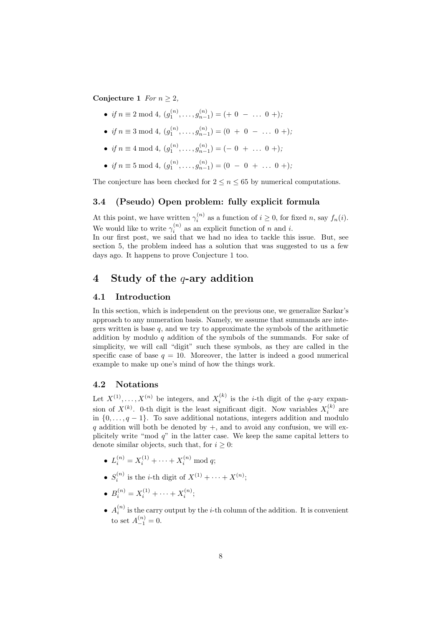Conjecture 1 For  $n > 2$ ,

- if  $n \equiv 2 \mod 4$ ,  $(g_1^{(n)}, \ldots, g_{n-1}^{(n)}) = (+ 0 \ldots 0 +)$ ;
- if  $n \equiv 3 \mod 4$ ,  $(g_1^{(n)}, \ldots, g_{n-1}^{(n)}) = (0 + 0 \ldots 0 +)$ ;
- if  $n \equiv 4 \mod 4$ ,  $(g_1^{(n)}, \ldots, g_{n-1}^{(n)}) = (-0 + \ldots 0 +)$ ;
- if  $n \equiv 5 \mod 4$ ,  $(g_1^{(n)}, \ldots, g_{n-1}^{(n)}) = (0 0 + \ldots 0 +)$ ;

The conjecture has been checked for  $2 \le n \le 65$  by numerical computations.

### 3.4 (Pseudo) Open problem: fully explicit formula

At this point, we have written  $\gamma_i^{(n)}$  as a function of  $i \geq 0$ , for fixed n, say  $f_n(i)$ . We would like to write  $\gamma_i^{(n)}$  as an explicit function of n and i.

In our first post, we said that we had no idea to tackle this issue. But, see section 5, the problem indeed has a solution that was suggested to us a few days ago. It happens to prove Conjecture 1 too.

### 4 Study of the  $q$ -ary addition

### 4.1 Introduction

In this section, which is independent on the previous one, we generalize Sarkar's approach to any numeration basis. Namely, we assume that summands are integers written is base  $q$ , and we try to approximate the symbols of the arithmetic addition by modulo q addition of the symbols of the summands. For sake of simplicity, we will call "digit" such these symbols, as they are called in the specific case of base  $q = 10$ . Moreover, the latter is indeed a good numerical example to make up one's mind of how the things work.

#### 4.2 Notations

Let  $X^{(1)}, \ldots, X^{(n)}$  be integers, and  $X_i^{(k)}$  is the *i*-th digit of the *q*-ary expansion of  $X^{(k)}$ . 0-th digit is the least significant digit. Now variables  $X_i^{(k)}$  are in  $\{0, \ldots, q-1\}$ . To save additional notations, integers addition and modulo q addition will both be denoted by  $+$ , and to avoid any confusion, we will explicitely write "mod  $q$ " in the latter case. We keep the same capital letters to denote similar objects, such that, for  $i \geq 0$ :

- $L_i^{(n)} = X_i^{(1)} + \cdots + X_i^{(n)} \bmod q;$
- $S_i^{(n)}$  is the *i*-th digit of  $X^{(1)} + \cdots + X^{(n)}$ ;
- $B_i^{(n)} = X_i^{(1)} + \cdots + X_i^{(n)};$
- $A_i^{(n)}$  is the carry output by the *i*-th column of the addition. It is convenient to set  $A_{-1}^{(n)} = 0$ .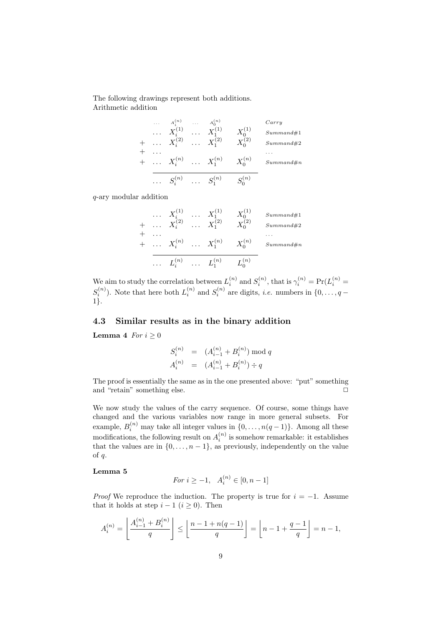The following drawings represent both additions. Arithmetic addition

| $\cdots$ | $A_i^{(n)}$              | $\cdots$ | $A_0^{(n)}$          |               | Carry     |
|----------|--------------------------|----------|----------------------|---------------|-----------|
|          | $\ldots X_i^{(1)}$       | $\cdots$ | $X_1^{(1)}$          | $X_0^{(1)}$   | Summand#1 |
| $\ldots$ | $X_i^{(2)}$              |          | $\cdots X_1^{(2)}$   | $X^{(2)}_{0}$ | Summand#2 |
|          |                          |          |                      |               | .         |
|          | $\ldots X_i^{(n)}$       |          | $\cdots X_1^{(n)}$   | $X^{(n)}_{0}$ | Summand#n |
|          | $\ldots \quad S_i^{(n)}$ |          | $\ldots$ $S_1^{(n)}$ | $S^{(n)}_{0}$ |           |

q-ary modular addition

. . . X(1) i . . . X(1) <sup>1</sup> X (1) 0 Summand#1 + . . . X(2) i . . . X(2) <sup>1</sup> X (2) 0 Summand#2 + . . . . . . + . . . X(n) i . . . X(n) <sup>1</sup> X (n) 0 Summand#n . . . L(n) i . . . L(n) <sup>1</sup> L (n) 0

We aim to study the correlation between  $L_i^{(n)}$  and  $S_i^{(n)}$ , that is  $\gamma_i^{(n)} = \Pr(L_i^{(n)} =$  $S_i^{(n)}$ ). Note that here both  $L_i^{(n)}$  and  $S_i^{(n)}$  are digits, *i.e.* numbers in  $\{0, \ldots, q-\}$ 1}.

### 4.3 Similar results as in the binary addition

Lemma 4  $For i \geq 0$ 

$$
S_i^{(n)} = (A_{i-1}^{(n)} + B_i^{(n)}) \mod q
$$
  

$$
A_i^{(n)} = (A_{i-1}^{(n)} + B_i^{(n)}) \div q
$$

The proof is essentially the same as in the one presented above: "put" something and "retain" something else.  $\Box$ 

We now study the values of the carry sequence. Of course, some things have changed and the various variables now range in more general subsets. For example,  $B_i^{(n)}$  may take all integer values in  $\{0, \ldots, n(q-1)\}$ . Among all these modifications, the following result on  $A_i^{(n)}$  is somehow remarkable: it establishes that the values are in  $\{0, \ldots, n-1\}$ , as previously, independently on the value of q.

#### Lemma 5

$$
For \ i \ge -1, \ \ A_i^{(n)} \in [0, n-1]
$$

*Proof* We reproduce the induction. The property is true for  $i = -1$ . Assume that it holds at step  $i - 1$   $(i \ge 0)$ . Then

$$
A_i^{(n)} = \left\lfloor \frac{A_{i-1}^{(n)} + B_i^{(n)}}{q} \right\rfloor \le \left\lfloor \frac{n-1 + n(q-1)}{q} \right\rfloor = \left\lfloor n-1 + \frac{q-1}{q} \right\rfloor = n-1,
$$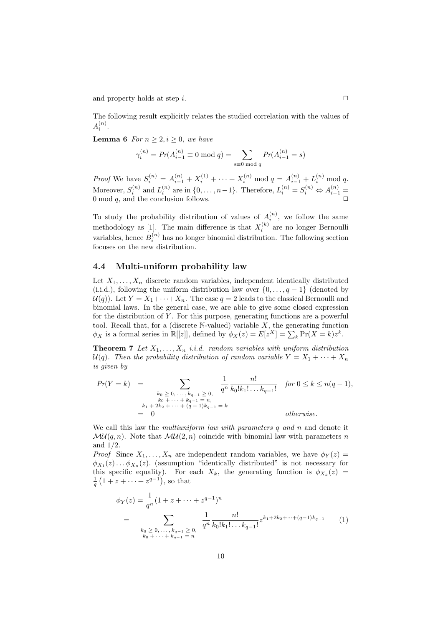and property holds at step i.  $\Box$ 

The following result explicitly relates the studied correlation with the values of  $A_i^{(n)}$ .

**Lemma 6** For  $n > 2, i > 0$ , we have

$$
\gamma_i^{(n)} = Pr(A_{i-1}^{(n)} \equiv 0 \mod q) = \sum_{s \equiv 0 \mod q} Pr(A_{i-1}^{(n)} = s)
$$

*Proof* We have  $S_i^{(n)} = A_{i-1}^{(n)} + X_i^{(1)} + \cdots + X_i^{(n)} \mod q = A_{i-1}^{(n)} + L_i^{(n)} \mod q$ . Moreover,  $S_i^{(n)}$  and  $L_i^{(n)}$  are in  $\{0, \ldots, n-1\}$ . Therefore,  $L_i^{(n)} = S_i^{(n)} \Leftrightarrow A_{i-1}^{(n)} =$ 0 mod  $q$ , and the conclusion follows.

To study the probability distribution of values of  $A_i^{(n)}$ , we follow the same methodology as [1]. The main difference is that  $X_i^{(k)}$  are no longer Bernoulli variables, hence  $B_i^{(n)}$  has no longer binomial distribution. The following section focuses on the new distribution.

#### 4.4 Multi-uniform probability law

Let  $X_1, \ldots, X_n$  discrete random variables, independent identically distributed (i.i.d.), following the uniform distribution law over  $\{0, \ldots, q-1\}$  (denoted by  $U(q)$ . Let  $Y = X_1 + \cdots + X_n$ . The case  $q = 2$  leads to the classical Bernoulli and binomial laws. In the general case, we are able to give some closed expression for the distribution of  $Y$ . For this purpose, generating functions are a powerful tool. Recall that, for a (discrete  $\mathbb N$ -valued) variable  $X$ , the generating function  $\phi_X$  is a formal series in  $\mathbb{R}[[z]]$ , defined by  $\phi_X(z) = E[z^X] = \sum_k \Pr(X = k)z^k$ .

**Theorem 7** Let  $X_1, \ldots, X_n$  *i.i.d.* random variables with uniform distribution  $U(q)$ . Then the probability distribution of random variable  $Y = X_1 + \cdots + X_n$ is given by

$$
Pr(Y = k) = \sum_{\substack{k_0 \ge 0, \ldots, k_{q-1} \ge 0, \ k_0 + \cdots + k_{q-1} = n, \\ k_1 + 2k_2 + \cdots + (q-1)k_{q-1} = k}} \frac{1}{q^n} \frac{n!}{k_0! k_1! \ldots k_{q-1}!} \quad \text{for } 0 \le k \le n(q-1),
$$
\n
$$
= 0 \quad \text{otherwise.}
$$

We call this law the *multiuniform law with parameters q and n* and denote it  $\mathcal{M}\mathcal{U}(q, n)$ . Note that  $\mathcal{M}\mathcal{U}(2, n)$  coincide with binomial law with parameters n and 1/2.

*Proof* Since  $X_1, \ldots, X_n$  are independent random variables, we have  $\phi_Y(z) =$  $\phi_{X_1}(z) \dots \phi_{X_n}(z)$ . (assumption "identically distributed" is not necessary for this specific equality). For each  $X_k$ , the generating function is  $\phi_{X_k}(z) = \frac{1}{q} (1 + z + \cdots + z^{q-1})$ , so that

$$
\phi_Y(z) = \frac{1}{q^n} (1 + z + \dots + z^{q-1})^n
$$
  
= 
$$
\sum_{\substack{k_0 \ge 0, \dots, k_{q-1} \ge 0, \\ k_0 + \dots + k_{q-1} = n}} \frac{1}{q^n} \frac{n!}{k_0! k_1! \dots k_{q-1}!} z^{k_1 + 2k_2 + \dots + (q-1)k_{q-1}} \tag{1}
$$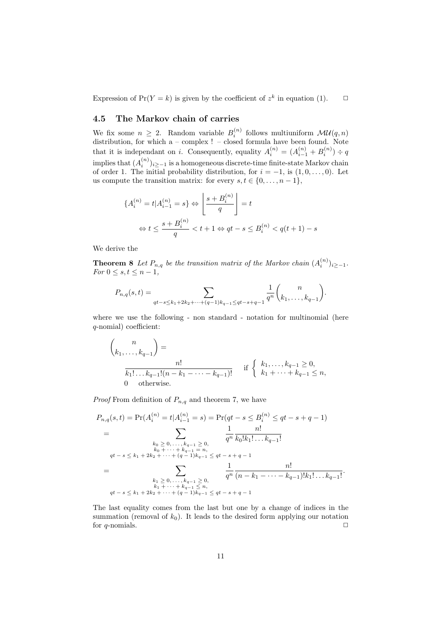Expression of  $Pr(Y = k)$  is given by the coefficient of  $z^k$  in equation (1).  $\Box$ 

### 4.5 The Markov chain of carries

We fix some  $n \geq 2$ . Random variable  $B_i^{(n)}$  follows multiuniform  $\mathcal{M}\mathcal{U}(q,n)$ distribution, for which a – complex ! – closed formula have been found. Note that it is independant on *i*. Consequently, equality  $A_i^{(n)} = (A_{i-1}^{(n)} + B_i^{(n)}) \div q$ implies that  $(A_i^{(n)})_{i \geq -1}$  is a homogeneous discrete-time finite-state Markov chain of order 1. The initial probability distribution, for  $i = -1$ , is  $(1, 0, \ldots, 0)$ . Let us compute the transition matrix: for every  $s, t \in \{0, \ldots, n-1\},\$ 

$$
\{A_i^{(n)} = t | A_{i-1}^{(n)} = s\} \Leftrightarrow \left\lfloor \frac{s + B_i^{(n)}}{q} \right\rfloor = t
$$
  

$$
\Leftrightarrow t \le \frac{s + B_i^{(n)}}{q} < t + 1 \Leftrightarrow qt - s \le B_i^{(n)} < q(t + 1) - s
$$

We derive the

**Theorem 8** Let  $P_{n,q}$  be the transition matrix of the Markov chain  $(A_i^{(n)})_{i\geq -1}$ . For  $0 \leq s, t \leq n-1$ ,

$$
P_{n,q}(s,t) = \sum_{qt-s \le k_1+2k_2+\cdots+(q-1)k_{q-1} \le qt-s+q-1} \frac{1}{q^n} {n \choose k_1,\ldots,k_{q-1}}.
$$

where we use the following - non standard - notation for multinomial (here q-nomial) coefficient:

$$
\binom{n}{k_1, \dots, k_{q-1}} = \frac{n!}{k_1! \dots k_{q-1}!(n - k_1 - \dots - k_{q-1})!} \quad \text{if } \begin{cases} k_1, \dots, k_{q-1} \ge 0, \\ k_1 + \dots + k_{q-1} \le n, \\ 0 \quad \text{otherwise.} \end{cases}
$$

*Proof* From definition of  $P_{n,q}$  and theorem 7, we have

$$
P_{n,q}(s,t) = \Pr(A_i^{(n)} = t | A_{i-1}^{(n)} = s) = \Pr(qt - s \le B_i^{(n)} \le qt - s + q - 1)
$$
  
= 
$$
\sum_{\substack{k_0 \ge 0, \ldots, k_{q-1} \ge 0, \\ k_0 + \cdots + k_{q-1} = n, \\ qt - s \le k_1 + 2k_2 + \cdots + (q-1)k_{q-1} \le qt - s + q - 1}} \frac{1}{q^n} \frac{n!}{k_0! k_1! \ldots k_{q-1}!}
$$
  
= 
$$
\sum_{\substack{k_1 \ge 0, \ldots, k_{q-1} \ge 0, \\ k_1 + \cdots + k_{q-1} \le n, \\ qt - s \le k_1 + 2k_2 + \cdots + (q-1)k_{q-1} \le qt - s + q - 1}} \frac{n!}{q^n} \frac{n!}{(n - k_1 - \cdots - k_{q-1})! k_1! \ldots k_{q-1}!}.
$$

The last equality comes from the last but one by a change of indices in the summation (removal of  $k_0$ ). It leads to the desired form applying our notation for q-nomials.  $\Box$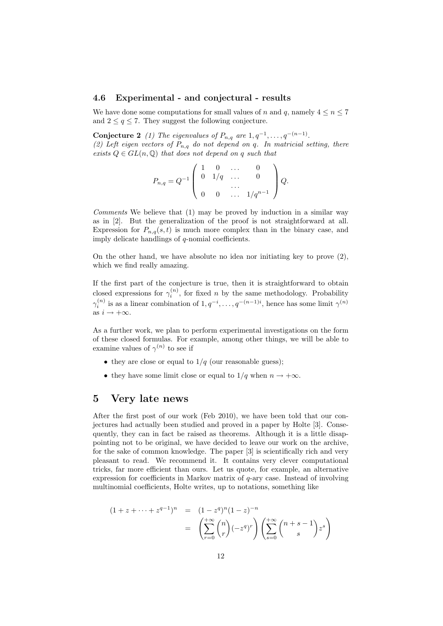#### 4.6 Experimental - and conjectural - results

We have done some computations for small values of n and q, namely  $4 \leq n \leq 7$ and  $2 \leq q \leq 7$ . They suggest the following conjecture.

Conjecture 2 (1) The eigenvalues of  $P_{n,q}$  are  $1, q^{-1}, \ldots, q^{-(n-1)}$ . (2) Left eigen vectors of  $P_{n,q}$  do not depend on q. In matricial setting, there exists  $Q \in GL(n, \mathbb{Q})$  that does not depend on q such that

$$
P_{n,q} = Q^{-1} \left( \begin{array}{cccc} 1 & 0 & \dots & 0 \\ 0 & 1/q & \dots & 0 \\ \dots & \dots & \dots & \dots \\ 0 & 0 & \dots & 1/q^{n-1} \end{array} \right) Q.
$$

Comments We believe that (1) may be proved by induction in a similar way as in [2]. But the generalization of the proof is not straightforward at all. Expression for  $P_{n,q}(s,t)$  is much more complex than in the binary case, and imply delicate handlings of q-nomial coefficients.

On the other hand, we have absolute no idea nor initiating key to prove  $(2)$ , which we find really amazing.

If the first part of the conjecture is true, then it is straightforward to obtain closed expressions for  $\gamma_i^{(n)}$ , for fixed n by the same methodology. Probability  $\gamma_i^{(n)}$  is as a linear combination of  $1, q^{-i}, \ldots, q^{-(n-1)i}$ , hence has some limit  $\gamma^{(n)}$ as  $i \to +\infty$ .

As a further work, we plan to perform experimental investigations on the form of these closed formulas. For example, among other things, we will be able to examine values of  $\gamma^{(n)}$  to see if

- they are close or equal to  $1/q$  (our reasonable guess);
- they have some limit close or equal to  $1/q$  when  $n \to +\infty$ .

### 5 Very late news

After the first post of our work (Feb 2010), we have been told that our conjectures had actually been studied and proved in a paper by Holte [3]. Consequently, they can in fact be raised as theorems. Although it is a little disappointing not to be original, we have decided to leave our work on the archive, for the sake of common knowledge. The paper [3] is scientifically rich and very pleasant to read. We recommend it. It contains very clever computational tricks, far more efficient than ours. Let us quote, for example, an alternative expression for coefficients in Markov matrix of  $q$ -ary case. Instead of involving multinomial coefficients, Holte writes, up to notations, something like

$$
(1 + z + \dots + z^{q-1})^n = (1 - z^q)^n (1 - z)^{-n}
$$
  
= 
$$
\left(\sum_{r=0}^{+\infty} \binom{n}{r} (-z^q)^r \right) \left(\sum_{s=0}^{+\infty} \binom{n+s-1}{s} z^s \right)
$$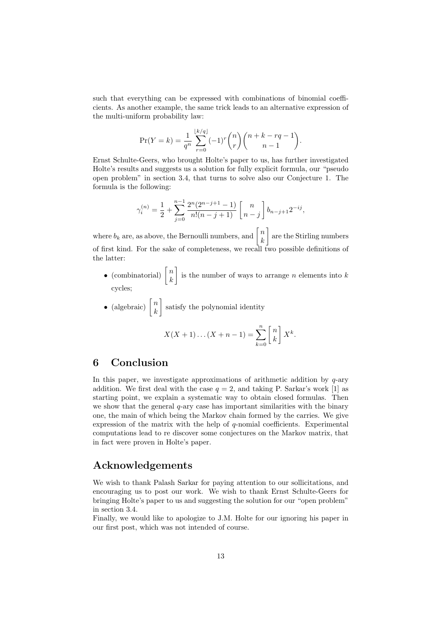such that everything can be expressed with combinations of binomial coefficients. As another example, the same trick leads to an alternative expression of the multi-uniform probability law:

$$
\Pr(Y = k) = \frac{1}{q^n} \sum_{r=0}^{\lfloor k/q \rfloor} (-1)^r \binom{n}{r} \binom{n+k-rq-1}{n-1}.
$$

Ernst Schulte-Geers, who brought Holte's paper to us, has further investigated Holte's results and suggests us a solution for fully explicit formula, our "pseudo open problem" in section 3.4, that turns to solve also our Conjecture 1. The formula is the following:

$$
\gamma_i^{(n)} = \frac{1}{2} + \sum_{j=0}^{n-1} \frac{2^n (2^{n-j+1} - 1)}{n!(n-j+1)} \begin{bmatrix} n \\ n-j \end{bmatrix} b_{n-j+1} 2^{-ij},
$$

where  $b_k$  are, as above, the Bernoulli numbers, and  $\begin{bmatrix} n \\ k \end{bmatrix}$ k are the Stirling numbers of first kind. For the sake of completeness, we recall two possible definitions of the latter:

• (combinatorial)  $\begin{bmatrix} n \\ n \end{bmatrix}$ k is the number of ways to arrange *n* elements into  $k$ cycles;

 $k=0$ 

• (algebraic)  $\begin{bmatrix} n \\ n \end{bmatrix}$ k satisfy the polynomial identity  $X(X + 1)...(X + n - 1) = \sum_{n=1}^{n}$  $\lceil n$ k  $\bigg]X^k.$ 

### 6 Conclusion

In this paper, we investigate approximations of arithmetic addition by  $q$ -ary addition. We first deal with the case  $q = 2$ , and taking P. Sarkar's work [1] as starting point, we explain a systematic way to obtain closed formulas. Then we show that the general  $q$ -ary case has important similarities with the binary one, the main of which being the Markov chain formed by the carries. We give expression of the matrix with the help of q-nomial coefficients. Experimental computations lead to re discover some conjectures on the Markov matrix, that in fact were proven in Holte's paper.

### Acknowledgements

We wish to thank Palash Sarkar for paying attention to our sollicitations, and encouraging us to post our work. We wish to thank Ernst Schulte-Geers for bringing Holte's paper to us and suggesting the solution for our "open problem" in section 3.4.

Finally, we would like to apologize to J.M. Holte for our ignoring his paper in our first post, which was not intended of course.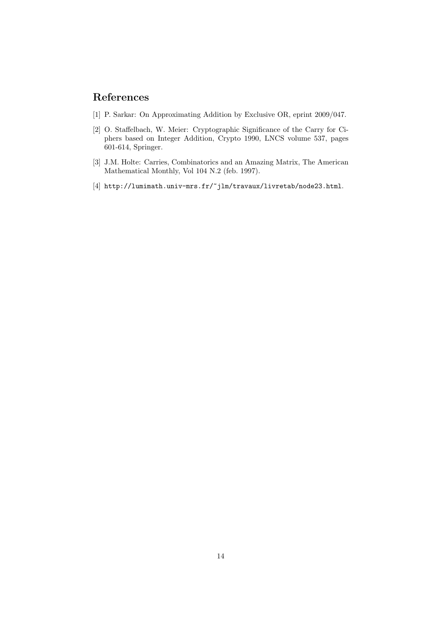## References

- [1] P. Sarkar: On Approximating Addition by Exclusive OR, eprint 2009/047.
- [2] O. Staffelbach, W. Meier: Cryptographic Significance of the Carry for Ciphers based on Integer Addition, Crypto 1990, LNCS volume 537, pages 601-614, Springer.
- [3] J.M. Holte: Carries, Combinatorics and an Amazing Matrix, The American Mathematical Monthly, Vol 104 N.2 (feb. 1997).
- $[4]$ http://lumimath.univ-mrs.fr/~jlm/travaux/livretab/node23.html.